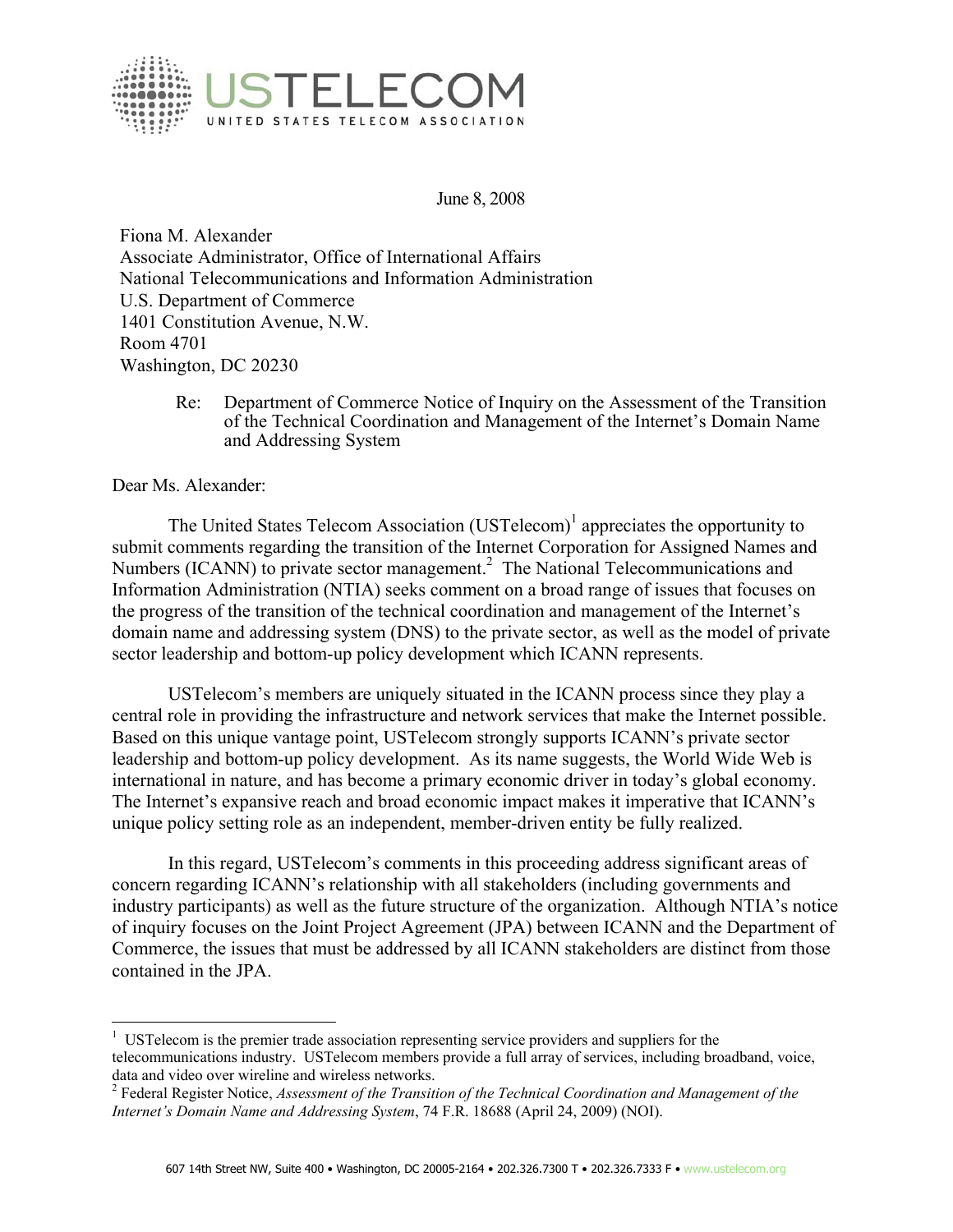

June 8, 2008

Fiona M. Alexander Associate Administrator, Office of International Affairs National Telecommunications and Information Administration U.S. Department of Commerce 1401 Constitution Avenue, N.W. Room 4701 Washington, DC 20230

> Re: Department of Commerce Notice of Inquiry on the Assessment of the Transition of the Technical Coordination and Management of the Internet's Domain Name and Addressing System

Dear Ms. Alexander:

 $\overline{a}$ 

The United States Telecom Association  $(USTelecom)^{1}$  appreciates the opportunity to submit comments regarding the transition of the Internet Corporation for Assigned Names and Numbers (ICANN) to private sector management.<sup>2</sup> The National Telecommunications and Information Administration (NTIA) seeks comment on a broad range of issues that focuses on the progress of the transition of the technical coordination and management of the Internet's domain name and addressing system (DNS) to the private sector, as well as the model of private sector leadership and bottom-up policy development which ICANN represents.

USTelecom's members are uniquely situated in the ICANN process since they play a central role in providing the infrastructure and network services that make the Internet possible. Based on this unique vantage point, USTelecom strongly supports ICANN's private sector leadership and bottom-up policy development. As its name suggests, the World Wide Web is international in nature, and has become a primary economic driver in today's global economy. The Internet's expansive reach and broad economic impact makes it imperative that ICANN's unique policy setting role as an independent, member-driven entity be fully realized.

In this regard, USTelecom's comments in this proceeding address significant areas of concern regarding ICANN's relationship with all stakeholders (including governments and industry participants) as well as the future structure of the organization. Although NTIA's notice of inquiry focuses on the Joint Project Agreement (JPA) between ICANN and the Department of Commerce, the issues that must be addressed by all ICANN stakeholders are distinct from those contained in the JPA.

<sup>&</sup>lt;sup>1</sup> USTelecom is the premier trade association representing service providers and suppliers for the telecommunications industry. USTelecom members provide a full array of services, including broadband, voice, data and video over wireline and wireless networks.

<sup>2</sup> Federal Register Notice, *Assessment of the Transition of the Technical Coordination and Management of the Internet's Domain Name and Addressing System*, 74 F.R. 18688 (April 24, 2009) (NOI).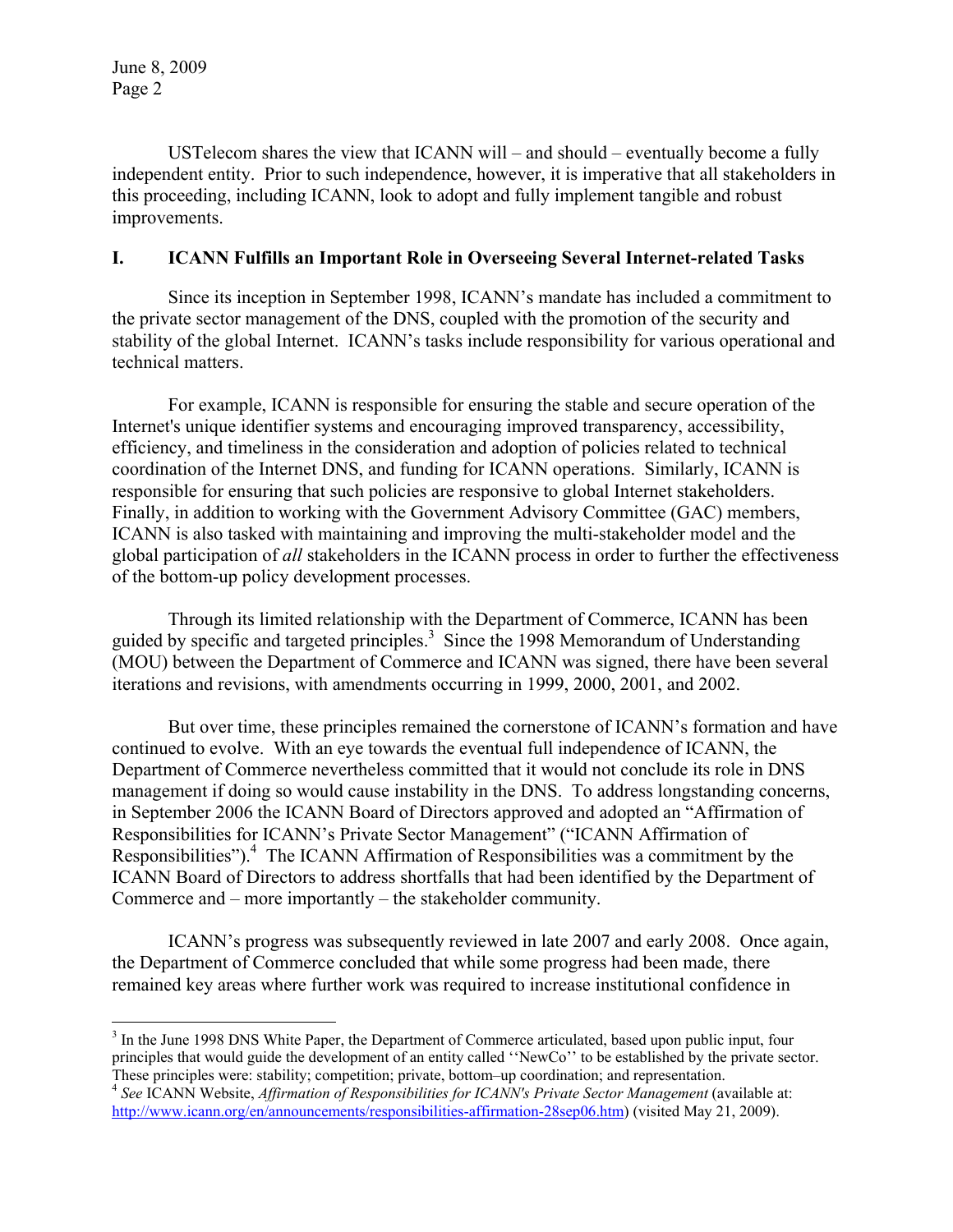$\overline{a}$ 

USTelecom shares the view that ICANN will – and should – eventually become a fully independent entity. Prior to such independence, however, it is imperative that all stakeholders in this proceeding, including ICANN, look to adopt and fully implement tangible and robust improvements.

### **I. ICANN Fulfills an Important Role in Overseeing Several Internet-related Tasks**

Since its inception in September 1998, ICANN's mandate has included a commitment to the private sector management of the DNS, coupled with the promotion of the security and stability of the global Internet. ICANN's tasks include responsibility for various operational and technical matters.

For example, ICANN is responsible for ensuring the stable and secure operation of the Internet's unique identifier systems and encouraging improved transparency, accessibility, efficiency, and timeliness in the consideration and adoption of policies related to technical coordination of the Internet DNS, and funding for ICANN operations. Similarly, ICANN is responsible for ensuring that such policies are responsive to global Internet stakeholders. Finally, in addition to working with the Government Advisory Committee (GAC) members, ICANN is also tasked with maintaining and improving the multi-stakeholder model and the global participation of *all* stakeholders in the ICANN process in order to further the effectiveness of the bottom-up policy development processes.

Through its limited relationship with the Department of Commerce, ICANN has been guided by specific and targeted principles.<sup>3</sup> Since the 1998 Memorandum of Understanding (MOU) between the Department of Commerce and ICANN was signed, there have been several iterations and revisions, with amendments occurring in 1999, 2000, 2001, and 2002.

But over time, these principles remained the cornerstone of ICANN's formation and have continued to evolve. With an eye towards the eventual full independence of ICANN, the Department of Commerce nevertheless committed that it would not conclude its role in DNS management if doing so would cause instability in the DNS. To address longstanding concerns, in September 2006 the ICANN Board of Directors approved and adopted an "Affirmation of Responsibilities for ICANN's Private Sector Management" ("ICANN Affirmation of Responsibilities").<sup>4</sup> The ICANN Affirmation of Responsibilities was a commitment by the ICANN Board of Directors to address shortfalls that had been identified by the Department of Commerce and – more importantly – the stakeholder community.

ICANN's progress was subsequently reviewed in late 2007 and early 2008. Once again, the Department of Commerce concluded that while some progress had been made, there remained key areas where further work was required to increase institutional confidence in

<sup>&</sup>lt;sup>3</sup> In the June 1998 DNS White Paper, the Department of Commerce articulated, based upon public input, four principles that would guide the development of an entity called ''NewCo'' to be established by the private sector. These principles were: stability; competition; private, bottom–up coordination; and representation. 4 *See* ICANN Website, *Affirmation of Responsibilities for ICANN's Private Sector Management* (available at:

http://www.icann.org/en/announcements/responsibilities-affirmation-28sep06.htm) (visited May 21, 2009).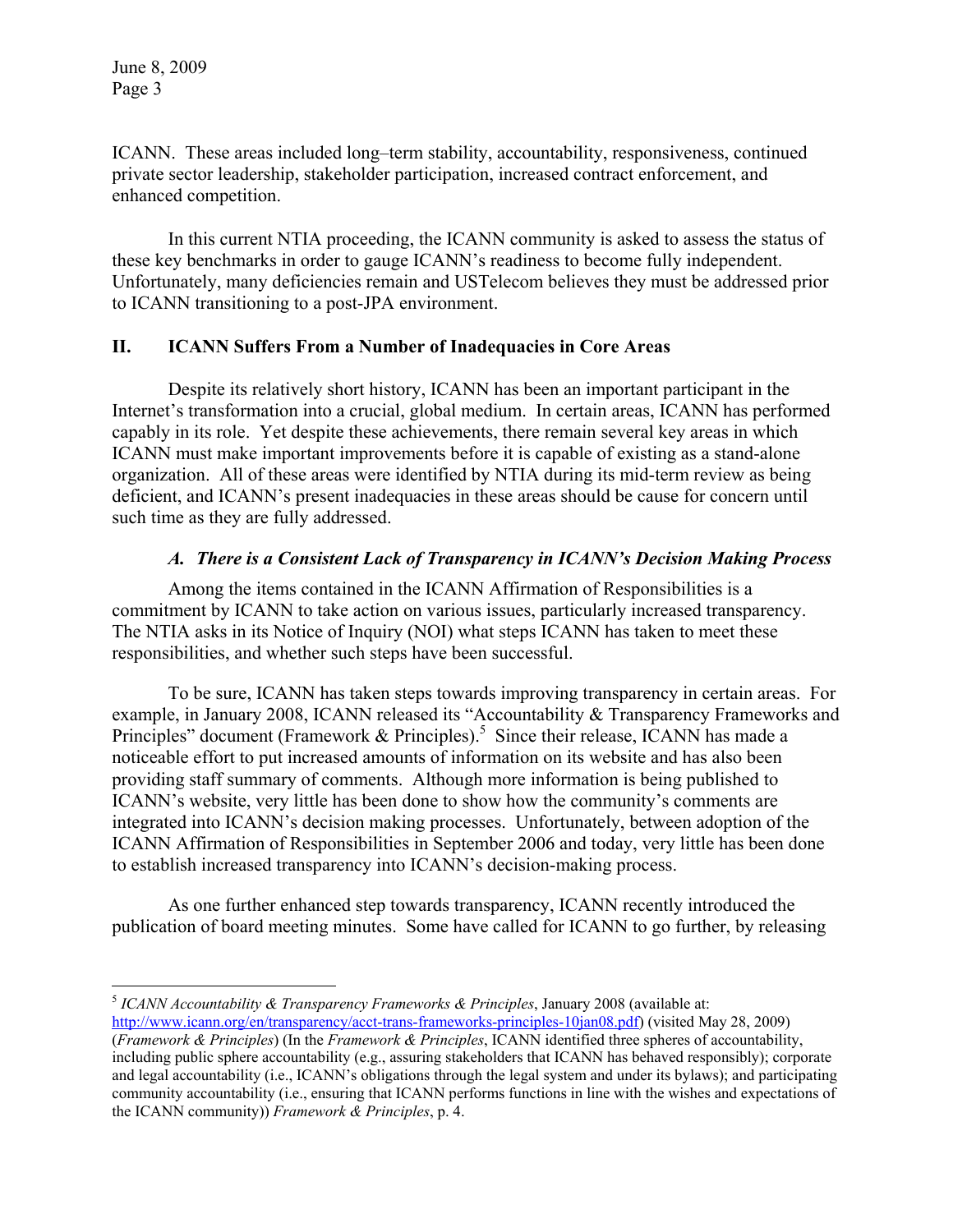ICANN. These areas included long–term stability, accountability, responsiveness, continued private sector leadership, stakeholder participation, increased contract enforcement, and enhanced competition.

In this current NTIA proceeding, the ICANN community is asked to assess the status of these key benchmarks in order to gauge ICANN's readiness to become fully independent. Unfortunately, many deficiencies remain and USTelecom believes they must be addressed prior to ICANN transitioning to a post-JPA environment.

## **II. ICANN Suffers From a Number of Inadequacies in Core Areas**

Despite its relatively short history, ICANN has been an important participant in the Internet's transformation into a crucial, global medium. In certain areas, ICANN has performed capably in its role. Yet despite these achievements, there remain several key areas in which ICANN must make important improvements before it is capable of existing as a stand-alone organization. All of these areas were identified by NTIA during its mid-term review as being deficient, and ICANN's present inadequacies in these areas should be cause for concern until such time as they are fully addressed.

## *A. There is a Consistent Lack of Transparency in ICANN's Decision Making Process*

Among the items contained in the ICANN Affirmation of Responsibilities is a commitment by ICANN to take action on various issues, particularly increased transparency. The NTIA asks in its Notice of Inquiry (NOI) what steps ICANN has taken to meet these responsibilities, and whether such steps have been successful.

To be sure, ICANN has taken steps towards improving transparency in certain areas. For example, in January 2008, ICANN released its "Accountability & Transparency Frameworks and Principles" document (Framework & Principles).<sup>5</sup> Since their release, ICANN has made a noticeable effort to put increased amounts of information on its website and has also been providing staff summary of comments. Although more information is being published to ICANN's website, very little has been done to show how the community's comments are integrated into ICANN's decision making processes. Unfortunately, between adoption of the ICANN Affirmation of Responsibilities in September 2006 and today, very little has been done to establish increased transparency into ICANN's decision-making process.

As one further enhanced step towards transparency, ICANN recently introduced the publication of board meeting minutes. Some have called for ICANN to go further, by releasing

 $\overline{a}$ <sup>5</sup> *ICANN Accountability & Transparency Frameworks & Principles*, January 2008 (available at: http://www.icann.org/en/transparency/acct-trans-frameworks-principles-10jan08.pdf) (visited May 28, 2009)

<sup>(</sup>*Framework & Principles*) (In the *Framework & Principles*, ICANN identified three spheres of accountability, including public sphere accountability (e.g., assuring stakeholders that ICANN has behaved responsibly); corporate and legal accountability (i.e., ICANN's obligations through the legal system and under its bylaws); and participating community accountability (i.e., ensuring that ICANN performs functions in line with the wishes and expectations of the ICANN community)) *Framework & Principles*, p. 4.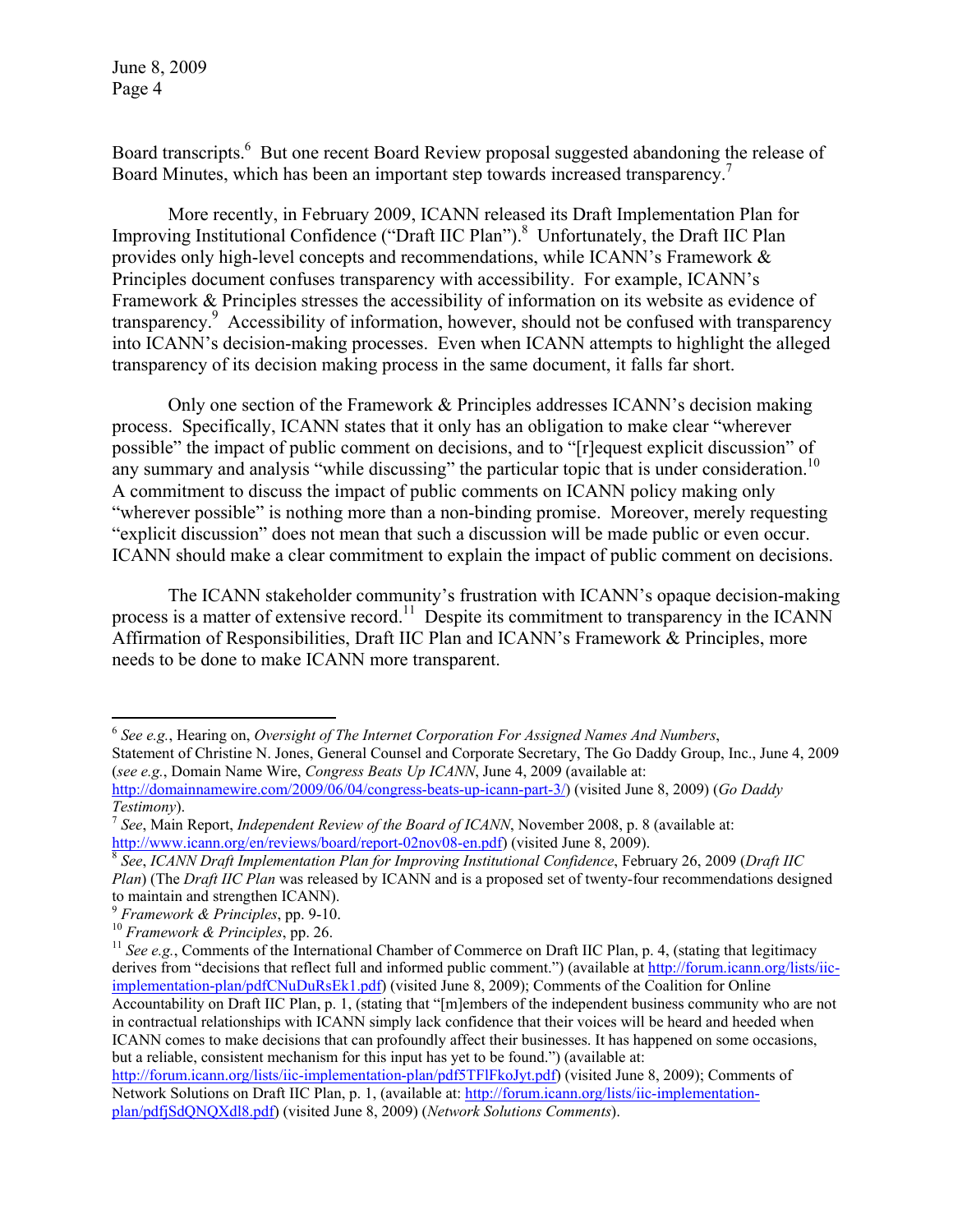Board transcripts.<sup>6</sup> But one recent Board Review proposal suggested abandoning the release of Board Minutes, which has been an important step towards increased transparency.<sup>7</sup>

More recently, in February 2009, ICANN released its Draft Implementation Plan for Improving Institutional Confidence ("Draft IIC Plan").<sup>8</sup> Unfortunately, the Draft IIC Plan provides only high-level concepts and recommendations, while ICANN's Framework & Principles document confuses transparency with accessibility. For example, ICANN's Framework & Principles stresses the accessibility of information on its website as evidence of transparency.<sup>9</sup> Accessibility of information, however, should not be confused with transparency into ICANN's decision-making processes. Even when ICANN attempts to highlight the alleged transparency of its decision making process in the same document, it falls far short.

Only one section of the Framework & Principles addresses ICANN's decision making process. Specifically, ICANN states that it only has an obligation to make clear "wherever possible" the impact of public comment on decisions, and to "[r]equest explicit discussion" of any summary and analysis "while discussing" the particular topic that is under consideration.<sup>10</sup> A commitment to discuss the impact of public comments on ICANN policy making only "wherever possible" is nothing more than a non-binding promise. Moreover, merely requesting "explicit discussion" does not mean that such a discussion will be made public or even occur. ICANN should make a clear commitment to explain the impact of public comment on decisions.

The ICANN stakeholder community's frustration with ICANN's opaque decision-making process is a matter of extensive record.<sup>11</sup> Despite its commitment to transparency in the ICANN Affirmation of Responsibilities, Draft IIC Plan and ICANN's Framework & Principles, more needs to be done to make ICANN more transparent.

 $\overline{a}$ <sup>6</sup> *See e.g.*, Hearing on, *Oversight of The Internet Corporation For Assigned Names And Numbers*,

Statement of Christine N. Jones, General Counsel and Corporate Secretary, The Go Daddy Group, Inc., June 4, 2009 (*see e.g.*, Domain Name Wire, *Congress Beats Up ICANN*, June 4, 2009 (available at:

http://domainnamewire.com/2009/06/04/congress-beats-up-icann-part-3/) (visited June 8, 2009) (*Go Daddy Testimony*).<br><sup>7</sup> *See*, Main Report, *Independent Review of the Board of ICANN*, November 2008, p. 8 (available at:

http://www.icann.org/en/reviews/board/report-02nov08-en.pdf) (visited June 8, 2009). 8 *See*, *ICANN Draft Implementation Plan for Improving Institutional Confidence*, February 26, 2009 (*Draft IIC* 

*Plan*) (The *Draft IIC Plan* was released by ICANN and is a proposed set of twenty-four recommendations designed to maintain and strengthen ICANN).

<sup>&</sup>lt;sup>9</sup> *Framework & Principles*, pp. 9-10.<br><sup>10</sup> *Framework & Principles*, pp. 26. 11 *See e.g.*, Comments of the International Chamber of Commerce on Draft IIC Plan, p. 4, (stating that legitimacy derives from "decisions that reflect full and informed public comment.") (available at http://forum.icann.org/lists/iicimplementation-plan/pdfCNuDuRsEk1.pdf) (visited June 8, 2009); Comments of the Coalition for Online Accountability on Draft IIC Plan, p. 1, (stating that "[m]embers of the independent business community who are not in contractual relationships with ICANN simply lack confidence that their voices will be heard and heeded when ICANN comes to make decisions that can profoundly affect their businesses. It has happened on some occasions, but a reliable, consistent mechanism for this input has yet to be found.") (available at:

http://forum.icann.org/lists/iic-implementation-plan/pdf5TFlFkoJyt.pdf) (visited June 8, 2009); Comments of Network Solutions on Draft IIC Plan, p. 1, (available at: http://forum.icann.org/lists/iic-implementationplan/pdfjSdQNQXdl8.pdf) (visited June 8, 2009) (*Network Solutions Comments*).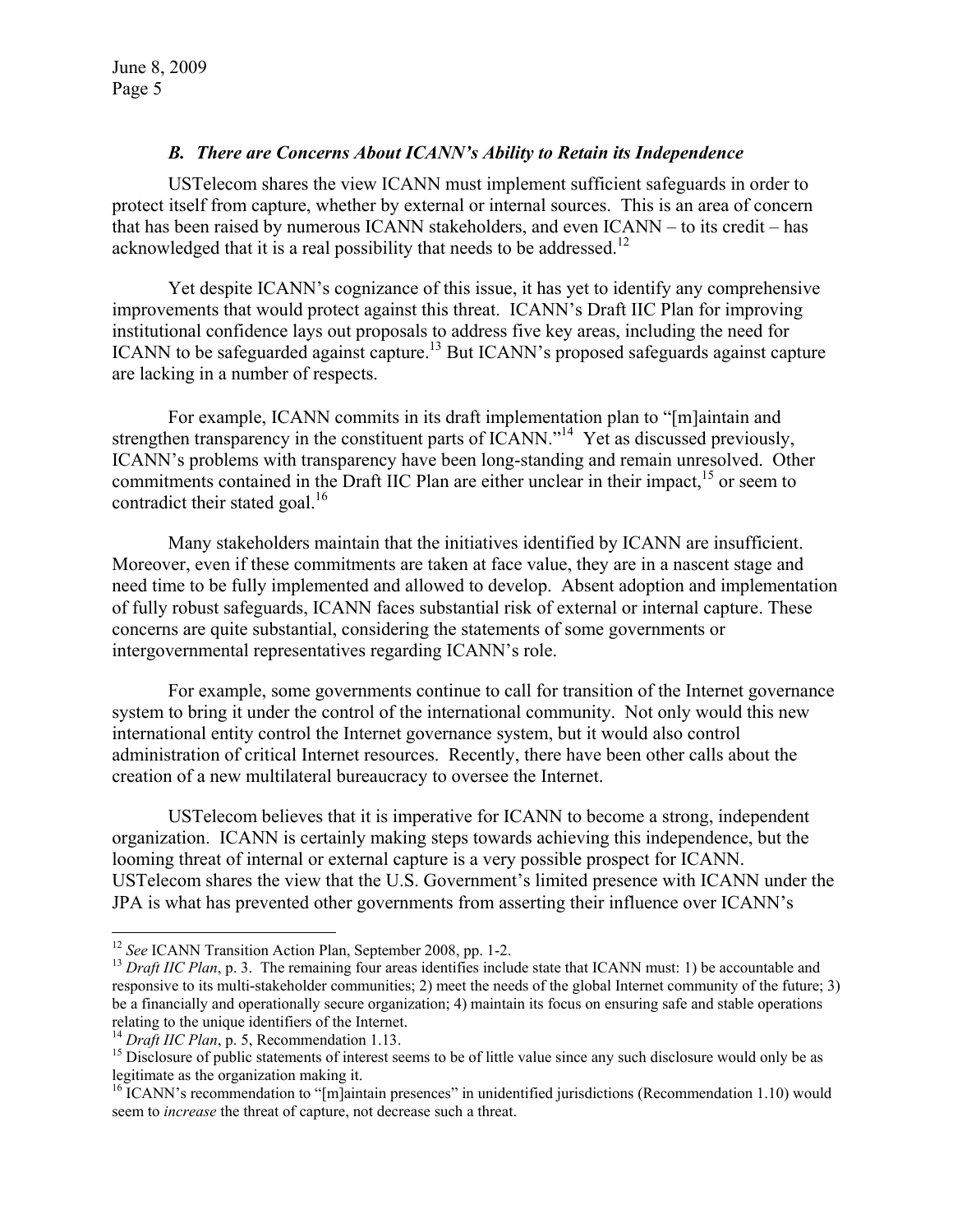### *B. There are Concerns About ICANN's Ability to Retain its Independence*

USTelecom shares the view ICANN must implement sufficient safeguards in order to protect itself from capture, whether by external or internal sources. This is an area of concern that has been raised by numerous ICANN stakeholders, and even ICANN – to its credit – has acknowledged that it is a real possibility that needs to be addressed.<sup>12</sup>

Yet despite ICANN's cognizance of this issue, it has yet to identify any comprehensive improvements that would protect against this threat. ICANN's Draft IIC Plan for improving institutional confidence lays out proposals to address five key areas, including the need for ICANN to be safeguarded against capture.<sup>13</sup> But ICANN's proposed safeguards against capture are lacking in a number of respects.

For example, ICANN commits in its draft implementation plan to "[m]aintain and strengthen transparency in the constituent parts of ICANN."<sup>14</sup> Yet as discussed previously, ICANN's problems with transparency have been long-standing and remain unresolved. Other commitments contained in the Draft IIC Plan are either unclear in their impact,  $^{15}$  or seem to contradict their stated goal.<sup>16</sup>

Many stakeholders maintain that the initiatives identified by ICANN are insufficient. Moreover, even if these commitments are taken at face value, they are in a nascent stage and need time to be fully implemented and allowed to develop. Absent adoption and implementation of fully robust safeguards, ICANN faces substantial risk of external or internal capture. These concerns are quite substantial, considering the statements of some governments or intergovernmental representatives regarding ICANN's role.

For example, some governments continue to call for transition of the Internet governance system to bring it under the control of the international community. Not only would this new international entity control the Internet governance system, but it would also control administration of critical Internet resources. Recently, there have been other calls about the creation of a new multilateral bureaucracy to oversee the Internet.

USTelecom believes that it is imperative for ICANN to become a strong, independent organization. ICANN is certainly making steps towards achieving this independence, but the looming threat of internal or external capture is a very possible prospect for ICANN. USTelecom shares the view that the U.S. Government's limited presence with ICANN under the JPA is what has prevented other governments from asserting their influence over ICANN's

 $\overline{a}$ 

<sup>&</sup>lt;sup>12</sup> *See* ICANN Transition Action Plan, September 2008, pp. 1-2.<br><sup>13</sup> *Draft IIC Plan*, p. 3. The remaining four areas identifies include state that ICANN must: 1) be accountable and responsive to its multi-stakeholder communities; 2) meet the needs of the global Internet community of the future; 3) be a financially and operationally secure organization; 4) maintain its focus on ensuring safe and stable operations relating to the unique identifiers of the Internet.<br><sup>14</sup> Draft IIC Plan, p. 5, Recommendation 1.13.

<sup>&</sup>lt;sup>15</sup> Disclosure of public statements of interest seems to be of little value since any such disclosure would only be as legitimate as the organization making it.

<sup>&</sup>lt;sup>16</sup> ICANN's recommendation to "[m]aintain presences" in unidentified jurisdictions (Recommendation 1.10) would seem to *increase* the threat of capture, not decrease such a threat.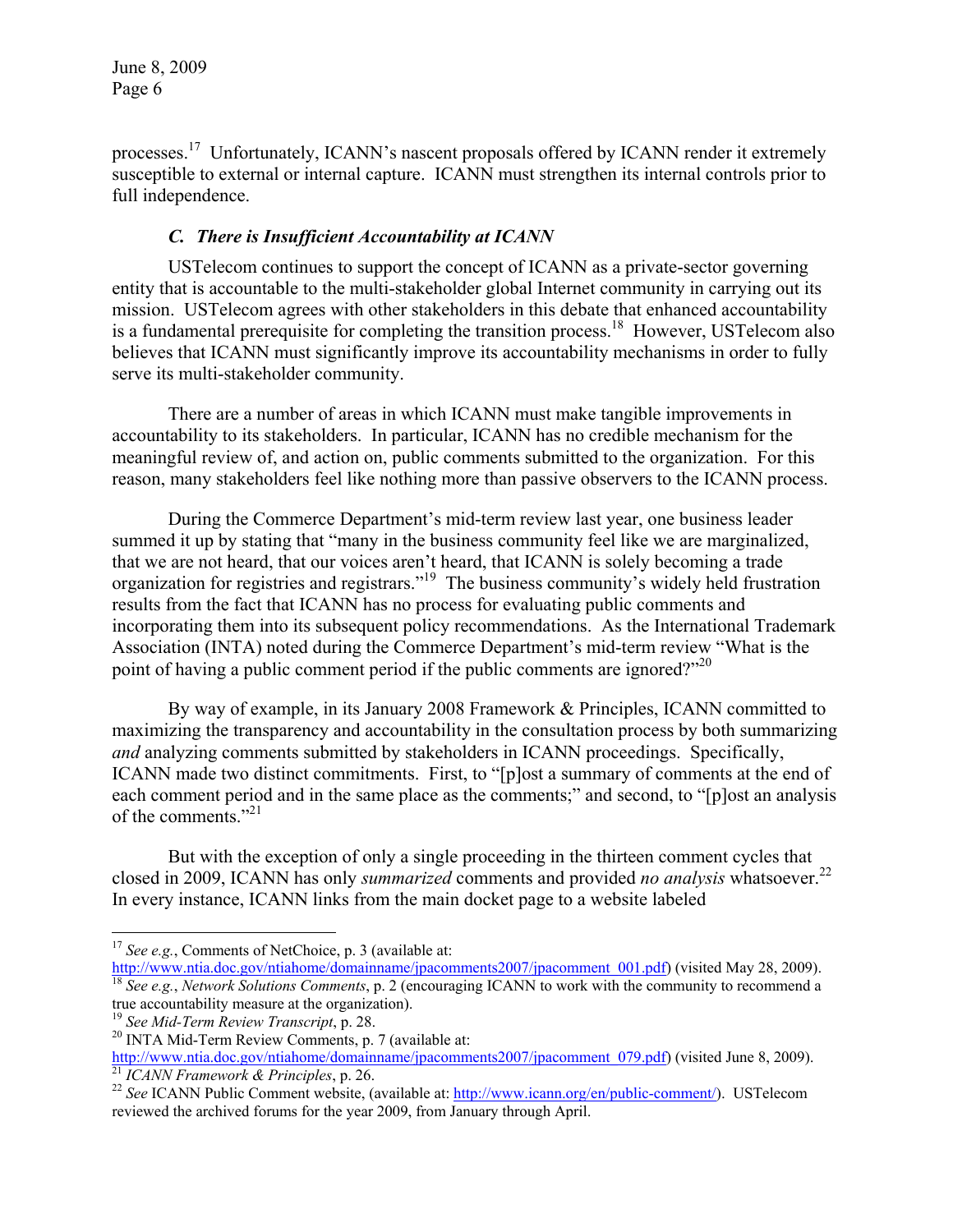processes.17 Unfortunately, ICANN's nascent proposals offered by ICANN render it extremely susceptible to external or internal capture. ICANN must strengthen its internal controls prior to full independence.

# *C. There is Insufficient Accountability at ICANN*

USTelecom continues to support the concept of ICANN as a private-sector governing entity that is accountable to the multi-stakeholder global Internet community in carrying out its mission. USTelecom agrees with other stakeholders in this debate that enhanced accountability is a fundamental prerequisite for completing the transition process.<sup>18</sup> However, USTelecom also believes that ICANN must significantly improve its accountability mechanisms in order to fully serve its multi-stakeholder community.

There are a number of areas in which ICANN must make tangible improvements in accountability to its stakeholders. In particular, ICANN has no credible mechanism for the meaningful review of, and action on, public comments submitted to the organization. For this reason, many stakeholders feel like nothing more than passive observers to the ICANN process.

During the Commerce Department's mid-term review last year, one business leader summed it up by stating that "many in the business community feel like we are marginalized, that we are not heard, that our voices aren't heard, that ICANN is solely becoming a trade organization for registries and registrars."19 The business community's widely held frustration results from the fact that ICANN has no process for evaluating public comments and incorporating them into its subsequent policy recommendations. As the International Trademark Association (INTA) noted during the Commerce Department's mid-term review "What is the point of having a public comment period if the public comments are ignored? $2^{220}$ 

By way of example, in its January 2008 Framework & Principles, ICANN committed to maximizing the transparency and accountability in the consultation process by both summarizing *and* analyzing comments submitted by stakeholders in ICANN proceedings. Specifically, ICANN made two distinct commitments. First, to "[p]ost a summary of comments at the end of each comment period and in the same place as the comments;" and second, to "[p]ost an analysis of the comments."<sup>21</sup>

But with the exception of only a single proceeding in the thirteen comment cycles that closed in 2009, ICANN has only *summarized* comments and provided *no analysis* whatsoever.<sup>22</sup> In every instance, ICANN links from the main docket page to a website labeled

 $\overline{a}$ 

<sup>&</sup>lt;sup>17</sup> *See e.g.*, Comments of NetChoice, p. 3 (available at:<br>http://www.ntia.doc.gov/ntiahome/domainname/jpacomments2007/jpacomment 001.pdf) (visited May 28, 2009). <sup>18</sup> See e.g., *Network Solutions Comments*, p. 2 (encouraging ICANN to work with the community to recommend a

true accountability measure at the organization).<br><sup>19</sup> See Mid-Term Review Transcript, p. 28.

<sup>&</sup>lt;sup>20</sup> INTA Mid-Term Review Comments, p. 7 (available at:

http://www.ntia.doc.gov/ntiahome/domainname/jpacomments2007/jpacomment\_079.pdf) (visited June 8, 2009).<br><sup>21</sup> *ICANN Framework & Principles*, p. 26.<br><sup>22</sup> *See* ICANN Public Comment website, (available at: http://www.icann.

reviewed the archived forums for the year 2009, from January through April.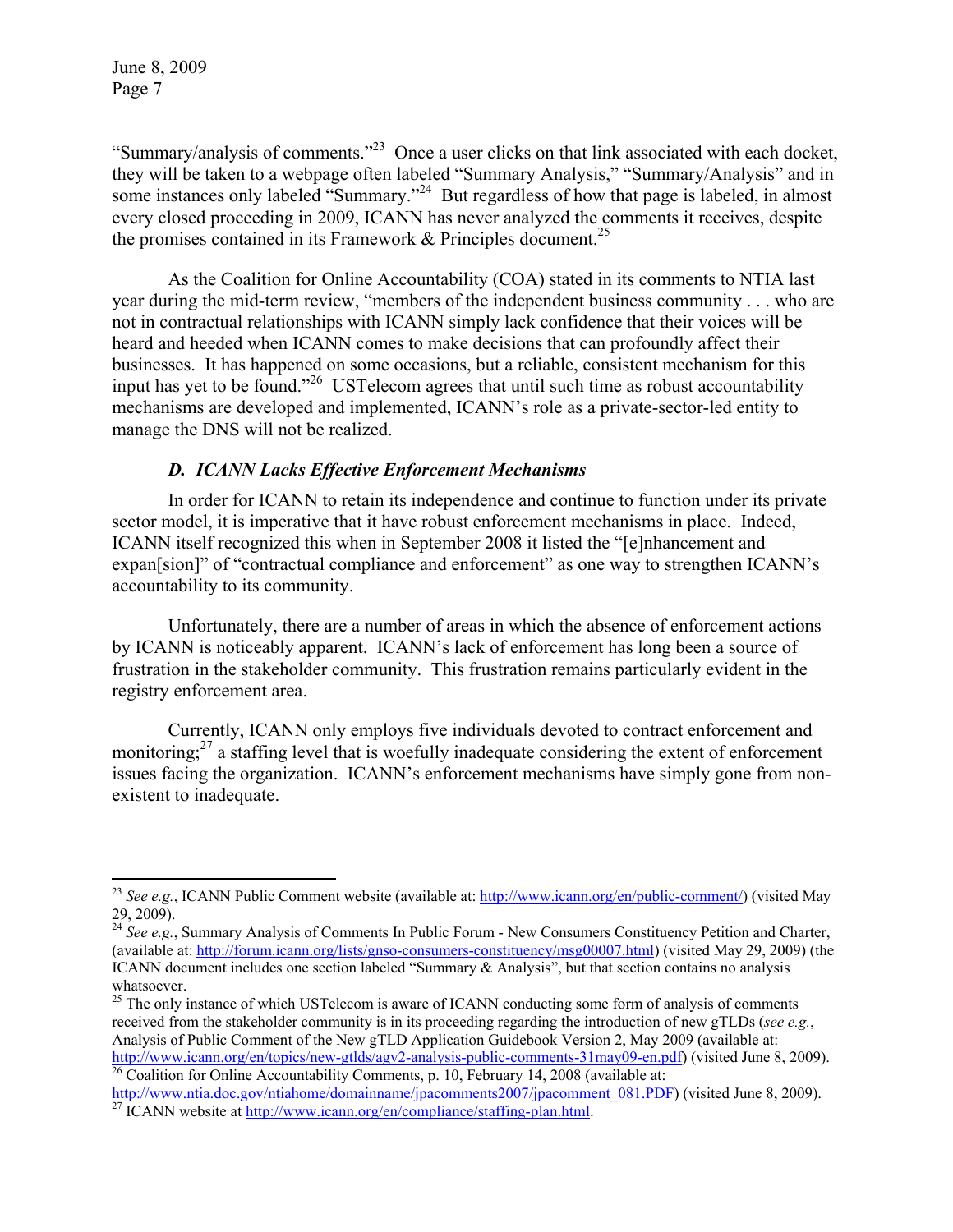$\overline{a}$ 

"Summary/analysis of comments."23 Once a user clicks on that link associated with each docket, they will be taken to a webpage often labeled "Summary Analysis," "Summary/Analysis" and in some instances only labeled "Summary."<sup>24</sup> But regardless of how that page is labeled, in almost every closed proceeding in 2009, ICANN has never analyzed the comments it receives, despite the promises contained in its Framework  $\&$  Principles document.<sup>25</sup>

As the Coalition for Online Accountability (COA) stated in its comments to NTIA last year during the mid-term review, "members of the independent business community . . . who are not in contractual relationships with ICANN simply lack confidence that their voices will be heard and heeded when ICANN comes to make decisions that can profoundly affect their businesses. It has happened on some occasions, but a reliable, consistent mechanism for this input has yet to be found."26 USTelecom agrees that until such time as robust accountability mechanisms are developed and implemented, ICANN's role as a private-sector-led entity to manage the DNS will not be realized.

### *D. ICANN Lacks Effective Enforcement Mechanisms*

In order for ICANN to retain its independence and continue to function under its private sector model, it is imperative that it have robust enforcement mechanisms in place. Indeed, ICANN itself recognized this when in September 2008 it listed the "[e]nhancement and expan[sion]" of "contractual compliance and enforcement" as one way to strengthen ICANN's accountability to its community.

Unfortunately, there are a number of areas in which the absence of enforcement actions by ICANN is noticeably apparent. ICANN's lack of enforcement has long been a source of frustration in the stakeholder community. This frustration remains particularly evident in the registry enforcement area.

Currently, ICANN only employs five individuals devoted to contract enforcement and monitoring; $2<sup>7</sup>$  a staffing level that is woefully inadequate considering the extent of enforcement issues facing the organization. ICANN's enforcement mechanisms have simply gone from nonexistent to inadequate.

<sup>&</sup>lt;sup>23</sup> *See e.g.*, ICANN Public Comment website (available at: http://www.icann.org/en/public-comment/) (visited May 29, 2009).

<sup>&</sup>lt;sup>24</sup> See e.g., Summary Analysis of Comments In Public Forum - New Consumers Constituency Petition and Charter, (available at: http://forum.icann.org/lists/gnso-consumers-constituency/msg00007.html) (visited May 29, 2009) (the ICANN document includes one section labeled "Summary & Analysis", but that section contains no analysis whatsoever.

<sup>&</sup>lt;sup>25</sup> The only instance of which USTelecom is aware of ICANN conducting some form of analysis of comments received from the stakeholder community is in its proceeding regarding the introduction of new gTLDs (*see e.g.*, Analysis of Public Comment of the New gTLD Application Guidebook Version 2, May 2009 (available at:<br>http://www.icann.org/en/topics/new-gtlds/agy2-analysis-public-comments-31may09-en.pdf) (visited June 8, 2009).

 $\frac{26}{26}$  Coalition for Online Accountability Comments, p. 10, February 14, 2008 (available at: http://www.ntia.doc.gov/ntiahome/domainname/jpacomments2007/jpacomment\_081.PDF) (visited June 8, 2009). <sup>27</sup> ICANN website at http://www.icann.org/en/compliance/staffing-plan.html.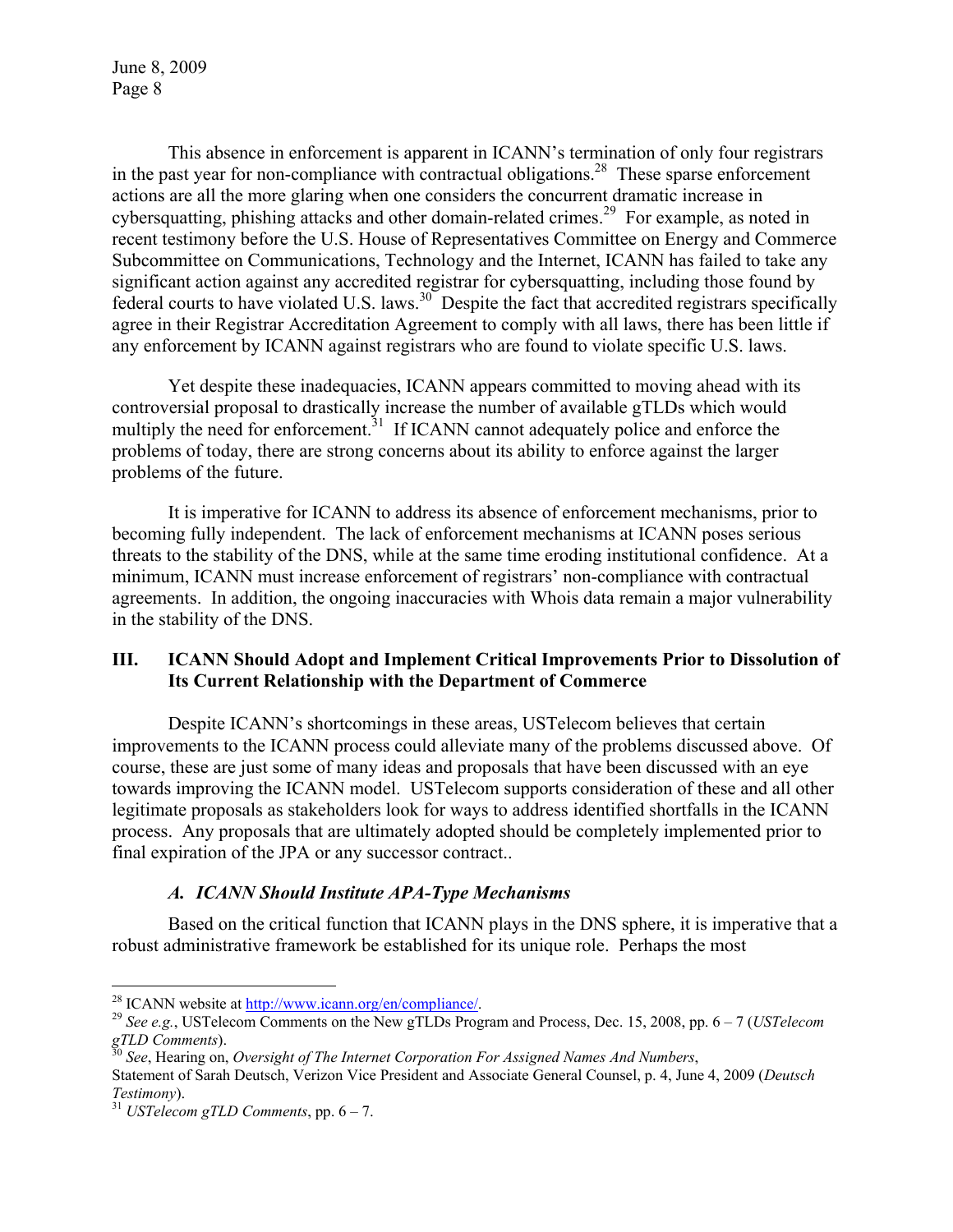This absence in enforcement is apparent in ICANN's termination of only four registrars in the past year for non-compliance with contractual obligations.<sup>28</sup> These sparse enforcement actions are all the more glaring when one considers the concurrent dramatic increase in cybersquatting, phishing attacks and other domain-related crimes.<sup>29</sup> For example, as noted in recent testimony before the U.S. House of Representatives Committee on Energy and Commerce Subcommittee on Communications, Technology and the Internet, ICANN has failed to take any significant action against any accredited registrar for cybersquatting, including those found by federal courts to have violated U.S. laws.<sup>30</sup> Despite the fact that accredited registrars specifically agree in their Registrar Accreditation Agreement to comply with all laws, there has been little if any enforcement by ICANN against registrars who are found to violate specific U.S. laws.

Yet despite these inadequacies, ICANN appears committed to moving ahead with its controversial proposal to drastically increase the number of available gTLDs which would multiply the need for enforcement.<sup>31</sup> If ICANN cannot adequately police and enforce the problems of today, there are strong concerns about its ability to enforce against the larger problems of the future.

It is imperative for ICANN to address its absence of enforcement mechanisms, prior to becoming fully independent. The lack of enforcement mechanisms at ICANN poses serious threats to the stability of the DNS, while at the same time eroding institutional confidence. At a minimum, ICANN must increase enforcement of registrars' non-compliance with contractual agreements. In addition, the ongoing inaccuracies with Whois data remain a major vulnerability in the stability of the DNS.

### **III. ICANN Should Adopt and Implement Critical Improvements Prior to Dissolution of Its Current Relationship with the Department of Commerce**

Despite ICANN's shortcomings in these areas, USTelecom believes that certain improvements to the ICANN process could alleviate many of the problems discussed above. Of course, these are just some of many ideas and proposals that have been discussed with an eye towards improving the ICANN model. USTelecom supports consideration of these and all other legitimate proposals as stakeholders look for ways to address identified shortfalls in the ICANN process. Any proposals that are ultimately adopted should be completely implemented prior to final expiration of the JPA or any successor contract..

#### *A. ICANN Should Institute APA-Type Mechanisms*

Based on the critical function that ICANN plays in the DNS sphere, it is imperative that a robust administrative framework be established for its unique role. Perhaps the most

<sup>&</sup>lt;sup>28</sup> ICANN website at http://www.icann.org/en/compliance/.

<sup>&</sup>lt;sup>29</sup> See e.g., USTelecom Comments on the New gTLDs Program and Process, Dec. 15, 2008, pp. 6 – 7 (*USTelecom gTLD Comments*). 30 *See*, Hearing on, *Oversight of The Internet Corporation For Assigned Names And Numbers*,

Statement of Sarah Deutsch, Verizon Vice President and Associate General Counsel, p. 4, June 4, 2009 (*Deutsch Testimony*). 31 *USTelecom gTLD Comments*, pp. 6 – 7.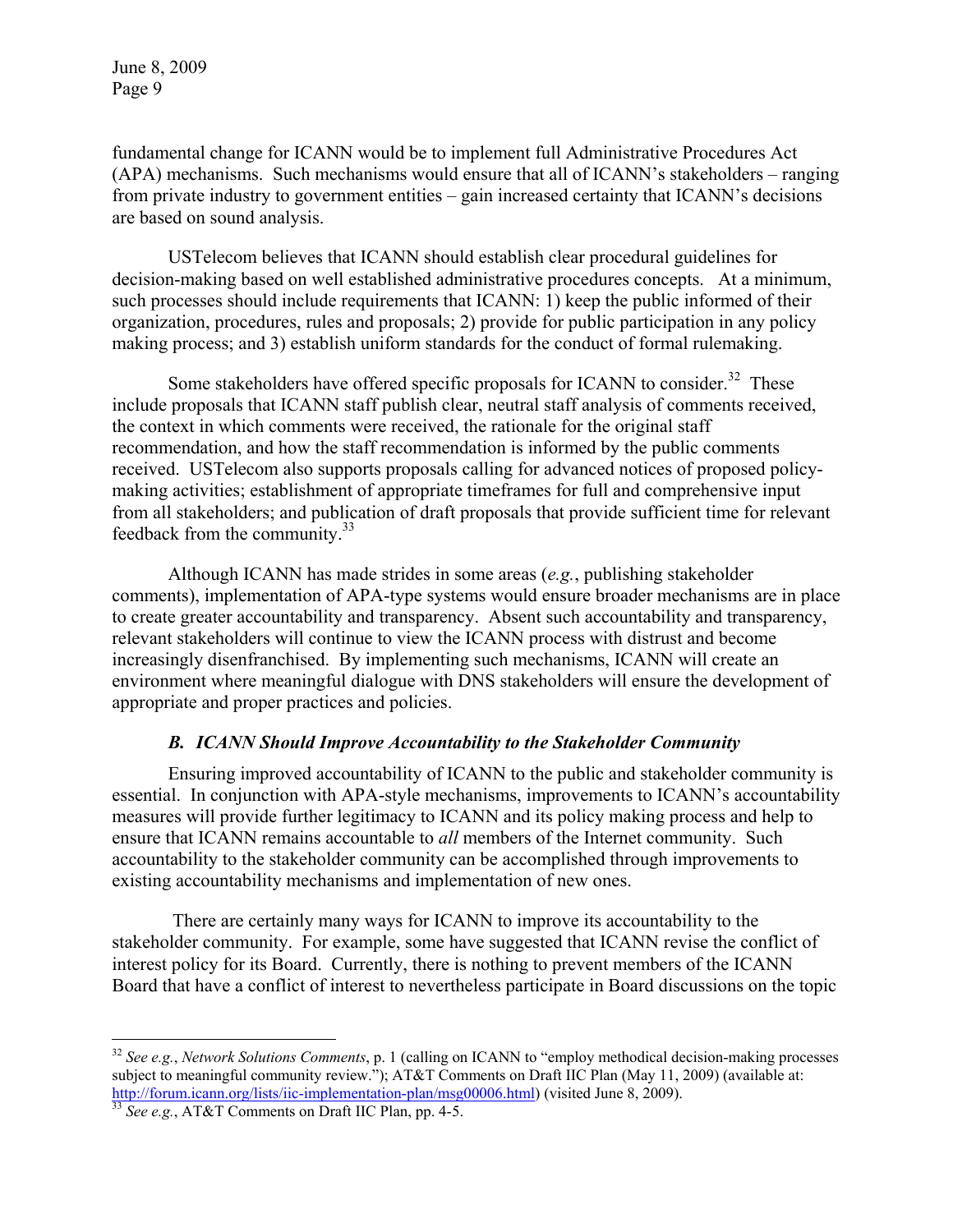fundamental change for ICANN would be to implement full Administrative Procedures Act (APA) mechanisms. Such mechanisms would ensure that all of ICANN's stakeholders – ranging from private industry to government entities – gain increased certainty that ICANN's decisions are based on sound analysis.

USTelecom believes that ICANN should establish clear procedural guidelines for decision-making based on well established administrative procedures concepts. At a minimum, such processes should include requirements that ICANN: 1) keep the public informed of their organization, procedures, rules and proposals; 2) provide for public participation in any policy making process; and 3) establish uniform standards for the conduct of formal rulemaking.

Some stakeholders have offered specific proposals for ICANN to consider.<sup>32</sup> These include proposals that ICANN staff publish clear, neutral staff analysis of comments received, the context in which comments were received, the rationale for the original staff recommendation, and how the staff recommendation is informed by the public comments received. USTelecom also supports proposals calling for advanced notices of proposed policymaking activities; establishment of appropriate timeframes for full and comprehensive input from all stakeholders; and publication of draft proposals that provide sufficient time for relevant feedback from the community.<sup>33</sup>

Although ICANN has made strides in some areas (*e.g.*, publishing stakeholder comments), implementation of APA-type systems would ensure broader mechanisms are in place to create greater accountability and transparency. Absent such accountability and transparency, relevant stakeholders will continue to view the ICANN process with distrust and become increasingly disenfranchised. By implementing such mechanisms, ICANN will create an environment where meaningful dialogue with DNS stakeholders will ensure the development of appropriate and proper practices and policies.

## *B. ICANN Should Improve Accountability to the Stakeholder Community*

Ensuring improved accountability of ICANN to the public and stakeholder community is essential. In conjunction with APA-style mechanisms, improvements to ICANN's accountability measures will provide further legitimacy to ICANN and its policy making process and help to ensure that ICANN remains accountable to *all* members of the Internet community. Such accountability to the stakeholder community can be accomplished through improvements to existing accountability mechanisms and implementation of new ones.

 There are certainly many ways for ICANN to improve its accountability to the stakeholder community. For example, some have suggested that ICANN revise the conflict of interest policy for its Board. Currently, there is nothing to prevent members of the ICANN Board that have a conflict of interest to nevertheless participate in Board discussions on the topic

 $\overline{a}$ 

<sup>32</sup> *See e.g.*, *Network Solutions Comments*, p. 1 (calling on ICANN to "employ methodical decision-making processes subject to meaningful community review."); AT&T Comments on Draft IIC Plan (May 11, 2009) (available at: http://forum.icann.org/lists/iic-implementation-plan/msg00006.html) (visited June 8, 2009).<br><sup>33</sup> *See e.g.*, AT&T Comments on Draft IIC Plan, pp. 4-5.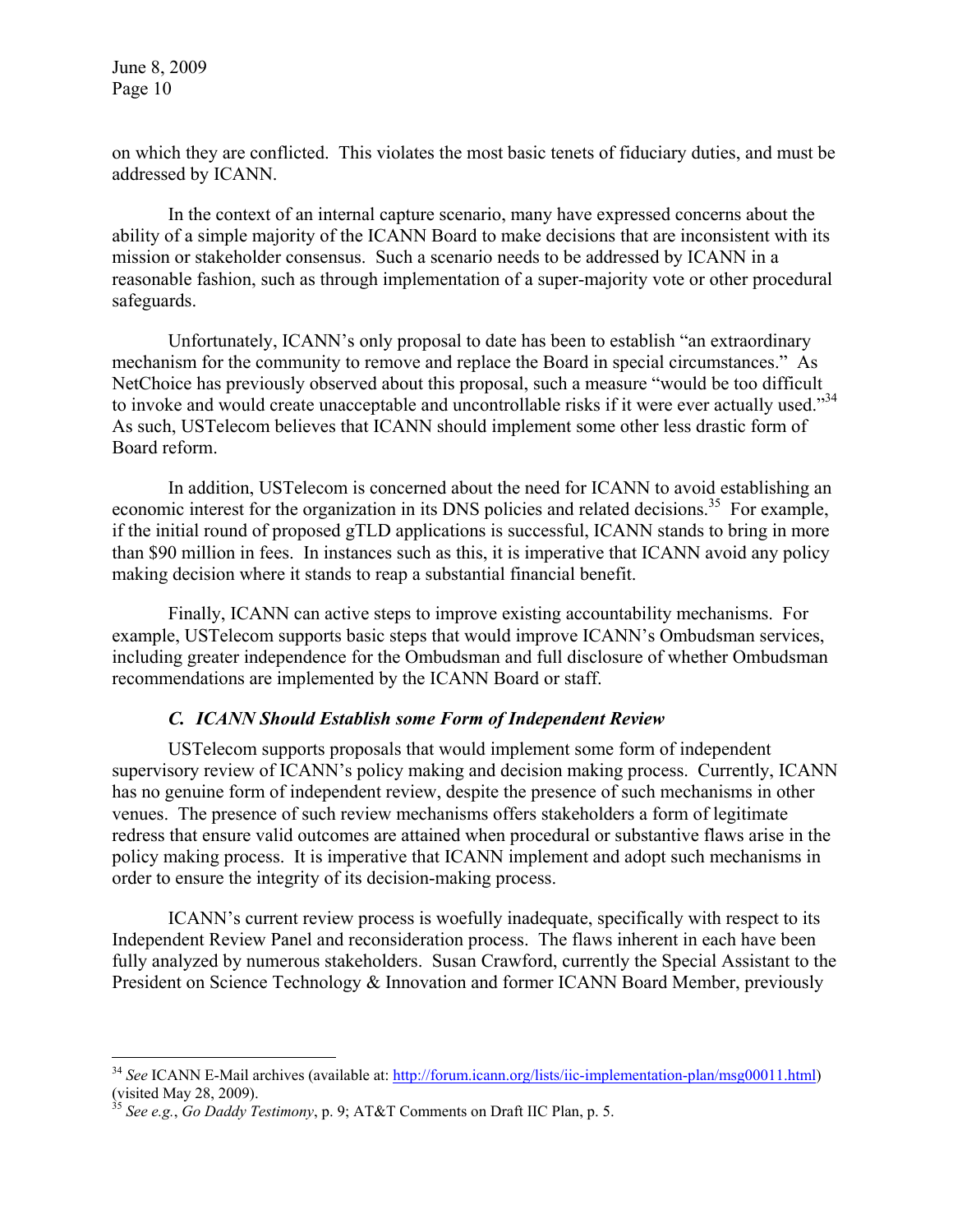$\overline{a}$ 

on which they are conflicted. This violates the most basic tenets of fiduciary duties, and must be addressed by ICANN.

In the context of an internal capture scenario, many have expressed concerns about the ability of a simple majority of the ICANN Board to make decisions that are inconsistent with its mission or stakeholder consensus. Such a scenario needs to be addressed by ICANN in a reasonable fashion, such as through implementation of a super-majority vote or other procedural safeguards.

Unfortunately, ICANN's only proposal to date has been to establish "an extraordinary mechanism for the community to remove and replace the Board in special circumstances." As NetChoice has previously observed about this proposal, such a measure "would be too difficult to invoke and would create unacceptable and uncontrollable risks if it were ever actually used."<sup>34</sup> As such, USTelecom believes that ICANN should implement some other less drastic form of Board reform.

In addition, USTelecom is concerned about the need for ICANN to avoid establishing an economic interest for the organization in its DNS policies and related decisions.<sup>35</sup> For example, if the initial round of proposed gTLD applications is successful, ICANN stands to bring in more than \$90 million in fees. In instances such as this, it is imperative that ICANN avoid any policy making decision where it stands to reap a substantial financial benefit.

 Finally, ICANN can active steps to improve existing accountability mechanisms. For example, USTelecom supports basic steps that would improve ICANN's Ombudsman services, including greater independence for the Ombudsman and full disclosure of whether Ombudsman recommendations are implemented by the ICANN Board or staff.

## *C. ICANN Should Establish some Form of Independent Review*

USTelecom supports proposals that would implement some form of independent supervisory review of ICANN's policy making and decision making process. Currently, ICANN has no genuine form of independent review, despite the presence of such mechanisms in other venues. The presence of such review mechanisms offers stakeholders a form of legitimate redress that ensure valid outcomes are attained when procedural or substantive flaws arise in the policy making process. It is imperative that ICANN implement and adopt such mechanisms in order to ensure the integrity of its decision-making process.

ICANN's current review process is woefully inadequate, specifically with respect to its Independent Review Panel and reconsideration process. The flaws inherent in each have been fully analyzed by numerous stakeholders. Susan Crawford, currently the Special Assistant to the President on Science Technology & Innovation and former ICANN Board Member, previously

<sup>34</sup> *See* ICANN E-Mail archives (available at: http://forum.icann.org/lists/iic-implementation-plan/msg00011.html) (visited May 28, 2009).

<sup>35</sup> *See e.g.*, *Go Daddy Testimony*, p. 9; AT&T Comments on Draft IIC Plan, p. 5.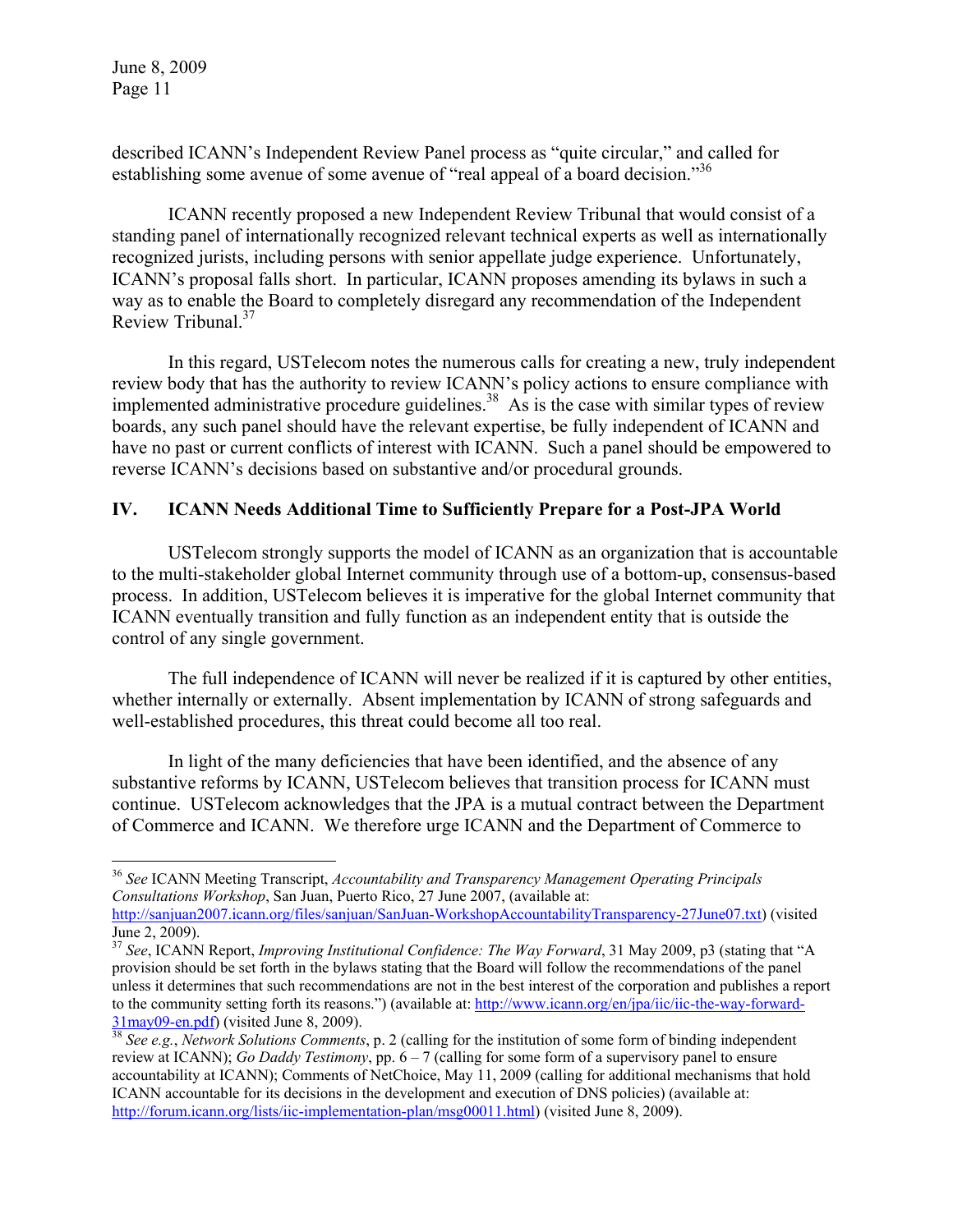$\overline{a}$ 

described ICANN's Independent Review Panel process as "quite circular," and called for establishing some avenue of some avenue of "real appeal of a board decision."<sup>36</sup>

ICANN recently proposed a new Independent Review Tribunal that would consist of a standing panel of internationally recognized relevant technical experts as well as internationally recognized jurists, including persons with senior appellate judge experience. Unfortunately, ICANN's proposal falls short. In particular, ICANN proposes amending its bylaws in such a way as to enable the Board to completely disregard any recommendation of the Independent Review Tribunal.<sup>37</sup>

In this regard, USTelecom notes the numerous calls for creating a new, truly independent review body that has the authority to review ICANN's policy actions to ensure compliance with implemented administrative procedure guidelines.<sup>38</sup> As is the case with similar types of review boards, any such panel should have the relevant expertise, be fully independent of ICANN and have no past or current conflicts of interest with ICANN. Such a panel should be empowered to reverse ICANN's decisions based on substantive and/or procedural grounds.

### **IV. ICANN Needs Additional Time to Sufficiently Prepare for a Post-JPA World**

USTelecom strongly supports the model of ICANN as an organization that is accountable to the multi-stakeholder global Internet community through use of a bottom-up, consensus-based process. In addition, USTelecom believes it is imperative for the global Internet community that ICANN eventually transition and fully function as an independent entity that is outside the control of any single government.

The full independence of ICANN will never be realized if it is captured by other entities, whether internally or externally. Absent implementation by ICANN of strong safeguards and well-established procedures, this threat could become all too real.

In light of the many deficiencies that have been identified, and the absence of any substantive reforms by ICANN, USTelecom believes that transition process for ICANN must continue. USTelecom acknowledges that the JPA is a mutual contract between the Department of Commerce and ICANN. We therefore urge ICANN and the Department of Commerce to

<sup>36</sup> *See* ICANN Meeting Transcript, *Accountability and Transparency Management Operating Principals Consultations Workshop*, San Juan, Puerto Rico, 27 June 2007, (available at:

http://sanjuan2007.icann.org/files/sanjuan/SanJuan-WorkshopAccountabilityTransparency-27June07.txt) (visited June 2, 2009).

<sup>37</sup> *See*, ICANN Report, *Improving Institutional Confidence: The Way Forward*, 31 May 2009, p3 (stating that "A provision should be set forth in the bylaws stating that the Board will follow the recommendations of the panel unless it determines that such recommendations are not in the best interest of the corporation and publishes a report to the community setting forth its reasons.") (available at: http://www.icann.org/en/jpa/iic/iic-the-way-forward-<br>31may09-en.pdf) (visited June 8, 2009).

<sup>&</sup>lt;sup>38</sup> See e.g., *Network Solutions Comments*, p. 2 (calling for the institution of some form of binding independent review at ICANN); *Go Daddy Testimony*, pp. 6 – 7 (calling for some form of a supervisory panel to ensure accountability at ICANN); Comments of NetChoice, May 11, 2009 (calling for additional mechanisms that hold ICANN accountable for its decisions in the development and execution of DNS policies) (available at: http://forum.icann.org/lists/iic-implementation-plan/msg00011.html) (visited June 8, 2009).